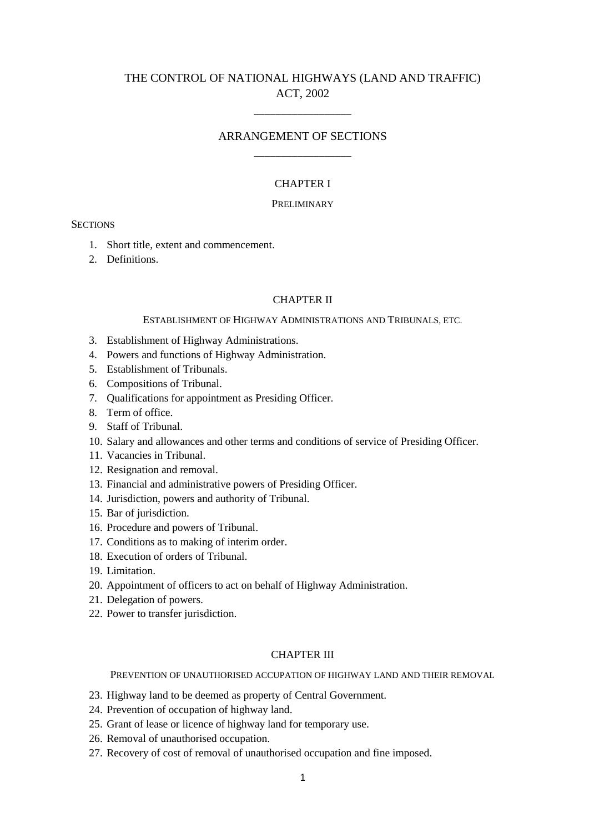# THE CONTROL OF NATIONAL HIGHWAYS (LAND AND TRAFFIC) ACT, 2002

\_\_\_\_\_\_\_\_\_\_\_\_\_\_\_\_\_\_

# ARRANGEMENT OF SECTIONS \_\_\_\_\_\_\_\_\_\_\_\_\_\_\_\_\_\_

### CHAPTER I

# PRELIMINARY

**SECTIONS** 

- 1. Short title, extent and commencement.
- 2. Definitions.

### CHAPTER II

### ESTABLISHMENT OF HIGHWAY ADMINISTRATIONS AND TRIBUNALS, ETC.

- 3. Establishment of Highway Administrations.
- 4. Powers and functions of Highway Administration.
- 5. Establishment of Tribunals.
- 6. Compositions of Tribunal.
- 7. Qualifications for appointment as Presiding Officer.
- 8. Term of office.
- 9. Staff of Tribunal.
- 10. Salary and allowances and other terms and conditions of service of Presiding Officer.
- 11. Vacancies in Tribunal.
- 12. Resignation and removal.
- 13. Financial and administrative powers of Presiding Officer.
- 14. Jurisdiction, powers and authority of Tribunal.
- 15. Bar of jurisdiction.
- 16. Procedure and powers of Tribunal.
- 17. Conditions as to making of interim order.
- 18. Execution of orders of Tribunal.
- 19. Limitation.
- 20. Appointment of officers to act on behalf of Highway Administration.
- 21. Delegation of powers.
- 22. Power to transfer jurisdiction.

# CHAPTER III

#### PREVENTION OF UNAUTHORISED ACCUPATION OF HIGHWAY LAND AND THEIR REMOVAL

- 23. Highway land to be deemed as property of Central Government.
- 24. Prevention of occupation of highway land.
- 25. Grant of lease or licence of highway land for temporary use.
- 26. Removal of unauthorised occupation.
- 27. Recovery of cost of removal of unauthorised occupation and fine imposed.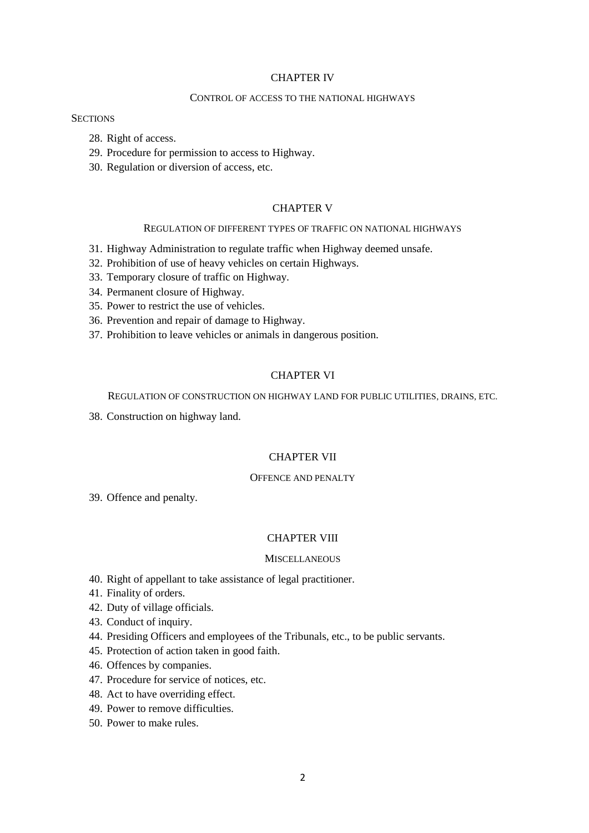### CHAPTER IV

### CONTROL OF ACCESS TO THE NATIONAL HIGHWAYS

### **SECTIONS**

- 28. Right of access.
- 29. Procedure for permission to access to Highway.
- 30. Regulation or diversion of access, etc.

### CHAPTER V

### REGULATION OF DIFFERENT TYPES OF TRAFFIC ON NATIONAL HIGHWAYS

- 31. Highway Administration to regulate traffic when Highway deemed unsafe.
- 32. Prohibition of use of heavy vehicles on certain Highways.
- 33. Temporary closure of traffic on Highway.
- 34. Permanent closure of Highway.
- 35. Power to restrict the use of vehicles.
- 36. Prevention and repair of damage to Highway.
- 37. Prohibition to leave vehicles or animals in dangerous position.

# CHAPTER VI

#### REGULATION OF CONSTRUCTION ON HIGHWAY LAND FOR PUBLIC UTILITIES, DRAINS, ETC.

38. Construction on highway land.

# CHAPTER VII

# OFFENCE AND PENALTY

39. Offence and penalty.

# CHAPTER VIII

### **MISCELLANEOUS**

- 40. Right of appellant to take assistance of legal practitioner.
- 41. Finality of orders.
- 42. Duty of village officials.
- 43. Conduct of inquiry.
- 44. Presiding Officers and employees of the Tribunals, etc., to be public servants.
- 45. Protection of action taken in good faith.
- 46. Offences by companies.
- 47. Procedure for service of notices, etc.
- 48. Act to have overriding effect.
- 49. Power to remove difficulties.
- 50. Power to make rules.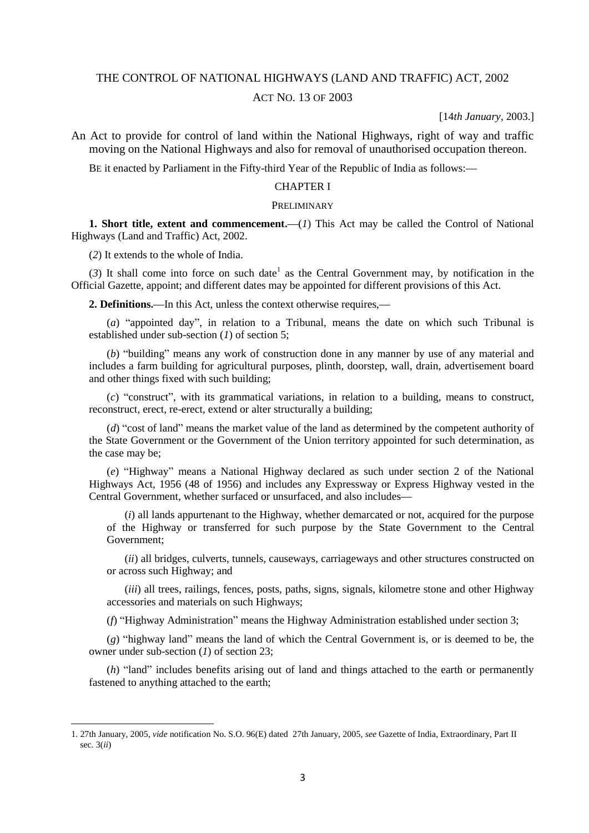# THE CONTROL OF NATIONAL HIGHWAYS (LAND AND TRAFFIC) ACT, 2002

### ACT NO. 13 OF 2003

[14*th January*, 2003.]

An Act to provide for control of land within the National Highways, right of way and traffic moving on the National Highways and also for removal of unauthorised occupation thereon.

BE it enacted by Parliament in the Fifty-third Year of the Republic of India as follows:**—**

#### CHAPTER I

### PRELIMINARY

**1. Short title, extent and commencement.—**(*1*) This Act may be called the Control of National Highways (Land and Traffic) Act, 2002.

(*2*) It extends to the whole of India.

**.** 

 $(3)$  It shall come into force on such date<sup>1</sup> as the Central Government may, by notification in the Official Gazette, appoint; and different dates may be appointed for different provisions of this Act.

**2. Definitions.—**In this Act, unless the context otherwise requires,**—**

(*a*) "appointed day", in relation to a Tribunal, means the date on which such Tribunal is established under sub-section (*1*) of section 5;

(*b*) "building" means any work of construction done in any manner by use of any material and includes a farm building for agricultural purposes, plinth, doorstep, wall, drain, advertisement board and other things fixed with such building;

(*c*) "construct", with its grammatical variations, in relation to a building, means to construct, reconstruct, erect, re-erect, extend or alter structurally a building;

(*d*) "cost of land" means the market value of the land as determined by the competent authority of the State Government or the Government of the Union territory appointed for such determination, as the case may be;

(*e*) "Highway" means a National Highway declared as such under section 2 of the National Highways Act, 1956 (48 of 1956) and includes any Expressway or Express Highway vested in the Central Government, whether surfaced or unsurfaced, and also includes**—**

(*i*) all lands appurtenant to the Highway, whether demarcated or not, acquired for the purpose of the Highway or transferred for such purpose by the State Government to the Central Government;

(*ii*) all bridges, culverts, tunnels, causeways, carriageways and other structures constructed on or across such Highway; and

(*iii*) all trees, railings, fences, posts, paths, signs, signals, kilometre stone and other Highway accessories and materials on such Highways;

(*f*) "Highway Administration" means the Highway Administration established under section 3;

(*g*) "highway land" means the land of which the Central Government is, or is deemed to be, the owner under sub-section (*1*) of section 23;

(*h*) "land" includes benefits arising out of land and things attached to the earth or permanently fastened to anything attached to the earth;

<sup>1. 27</sup>th January, 2005, *vide* notification No. S.O. 96(E) dated 27th January, 2005, *see* Gazette of India, Extraordinary, Part II sec. 3(*ii*)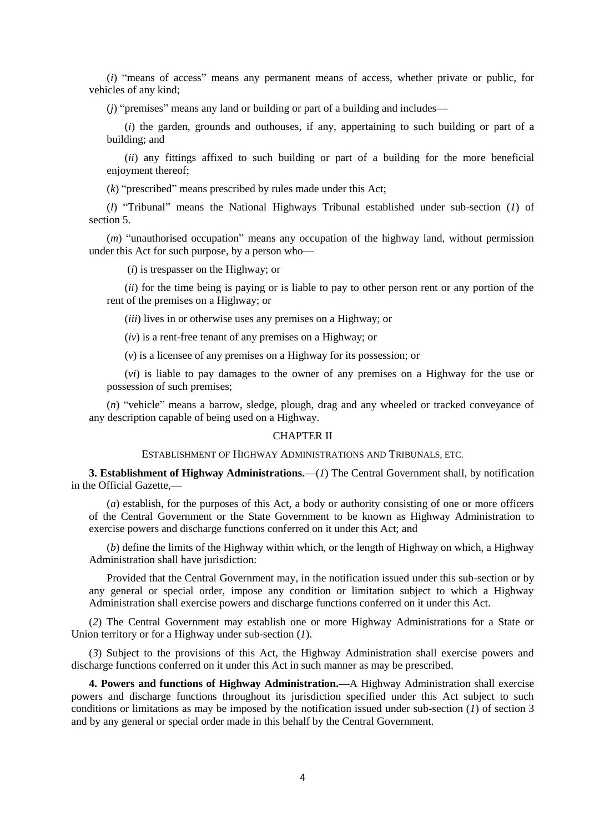(*i*) "means of access" means any permanent means of access, whether private or public, for vehicles of any kind;

(*j*) "premises" means any land or building or part of a building and includes**—**

(*i*) the garden, grounds and outhouses, if any, appertaining to such building or part of a building; and

(*ii*) any fittings affixed to such building or part of a building for the more beneficial enjoyment thereof;

(*k*) "prescribed" means prescribed by rules made under this Act;

(*l*) "Tribunal" means the National Highways Tribunal established under sub-section (*1*) of section 5.

(*m*) "unauthorised occupation" means any occupation of the highway land, without permission under this Act for such purpose, by a person who**—**

(*i*) is trespasser on the Highway; or

(*ii*) for the time being is paying or is liable to pay to other person rent or any portion of the rent of the premises on a Highway; or

(*iii*) lives in or otherwise uses any premises on a Highway; or

(*iv*) is a rent-free tenant of any premises on a Highway; or

(*v*) is a licensee of any premises on a Highway for its possession; or

(*vi*) is liable to pay damages to the owner of any premises on a Highway for the use or possession of such premises;

(*n*) "vehicle" means a barrow, sledge, plough, drag and any wheeled or tracked conveyance of any description capable of being used on a Highway.

### CHAPTER II

### ESTABLISHMENT OF HIGHWAY ADMINISTRATIONS AND TRIBUNALS, ETC.

**3. Establishment of Highway Administrations.—**(*1*) The Central Government shall, by notification in the Official Gazette,**—**

(*a*) establish, for the purposes of this Act, a body or authority consisting of one or more officers of the Central Government or the State Government to be known as Highway Administration to exercise powers and discharge functions conferred on it under this Act; and

(*b*) define the limits of the Highway within which, or the length of Highway on which, a Highway Administration shall have jurisdiction:

Provided that the Central Government may, in the notification issued under this sub-section or by any general or special order, impose any condition or limitation subject to which a Highway Administration shall exercise powers and discharge functions conferred on it under this Act.

(*2*) The Central Government may establish one or more Highway Administrations for a State or Union territory or for a Highway under sub-section (*1*).

(*3*) Subject to the provisions of this Act, the Highway Administration shall exercise powers and discharge functions conferred on it under this Act in such manner as may be prescribed.

**4. Powers and functions of Highway Administration.—**A Highway Administration shall exercise powers and discharge functions throughout its jurisdiction specified under this Act subject to such conditions or limitations as may be imposed by the notification issued under sub-section (*1*) of section 3 and by any general or special order made in this behalf by the Central Government.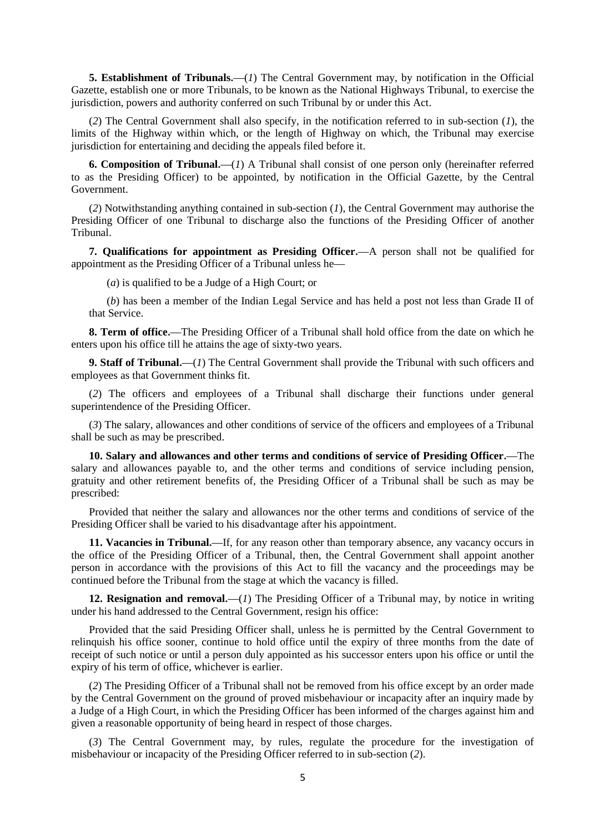**5. Establishment of Tribunals.—**(*1*) The Central Government may, by notification in the Official Gazette, establish one or more Tribunals, to be known as the National Highways Tribunal, to exercise the jurisdiction, powers and authority conferred on such Tribunal by or under this Act.

(*2*) The Central Government shall also specify, in the notification referred to in sub-section (*1*), the limits of the Highway within which, or the length of Highway on which, the Tribunal may exercise jurisdiction for entertaining and deciding the appeals filed before it.

**6. Composition of Tribunal.—**(*1*) A Tribunal shall consist of one person only (hereinafter referred to as the Presiding Officer) to be appointed, by notification in the Official Gazette, by the Central Government.

(*2*) Notwithstanding anything contained in sub-section (*1*), the Central Government may authorise the Presiding Officer of one Tribunal to discharge also the functions of the Presiding Officer of another Tribunal.

**7. Qualifications for appointment as Presiding Officer.—**A person shall not be qualified for appointment as the Presiding Officer of a Tribunal unless he**—**

(*a*) is qualified to be a Judge of a High Court; or

(*b*) has been a member of the Indian Legal Service and has held a post not less than Grade II of that Service.

**8. Term of office.—**The Presiding Officer of a Tribunal shall hold office from the date on which he enters upon his office till he attains the age of sixty-two years.

**9. Staff of Tribunal.—**(*1*) The Central Government shall provide the Tribunal with such officers and employees as that Government thinks fit.

(*2*) The officers and employees of a Tribunal shall discharge their functions under general superintendence of the Presiding Officer.

(*3*) The salary, allowances and other conditions of service of the officers and employees of a Tribunal shall be such as may be prescribed.

**10. Salary and allowances and other terms and conditions of service of Presiding Officer.—**The salary and allowances payable to, and the other terms and conditions of service including pension, gratuity and other retirement benefits of, the Presiding Officer of a Tribunal shall be such as may be prescribed:

Provided that neither the salary and allowances nor the other terms and conditions of service of the Presiding Officer shall be varied to his disadvantage after his appointment.

11. Vacancies in Tribunal.—If, for any reason other than temporary absence, any vacancy occurs in the office of the Presiding Officer of a Tribunal, then, the Central Government shall appoint another person in accordance with the provisions of this Act to fill the vacancy and the proceedings may be continued before the Tribunal from the stage at which the vacancy is filled.

**12. Resignation and removal.—**(*1*) The Presiding Officer of a Tribunal may, by notice in writing under his hand addressed to the Central Government, resign his office:

Provided that the said Presiding Officer shall, unless he is permitted by the Central Government to relinquish his office sooner, continue to hold office until the expiry of three months from the date of receipt of such notice or until a person duly appointed as his successor enters upon his office or until the expiry of his term of office, whichever is earlier.

(*2*) The Presiding Officer of a Tribunal shall not be removed from his office except by an order made by the Central Government on the ground of proved misbehaviour or incapacity after an inquiry made by a Judge of a High Court, in which the Presiding Officer has been informed of the charges against him and given a reasonable opportunity of being heard in respect of those charges.

(*3*) The Central Government may, by rules, regulate the procedure for the investigation of misbehaviour or incapacity of the Presiding Officer referred to in sub-section (*2*).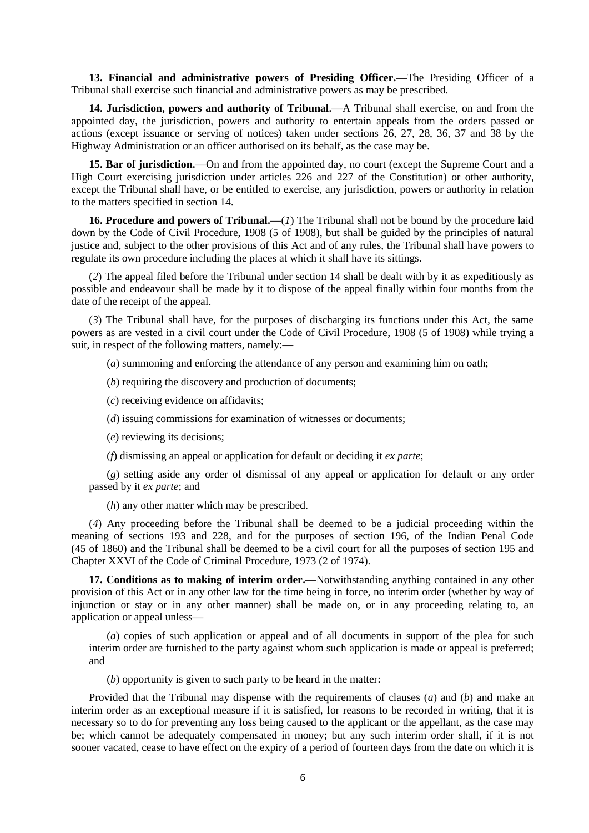**13. Financial and administrative powers of Presiding Officer.—**The Presiding Officer of a Tribunal shall exercise such financial and administrative powers as may be prescribed.

**14. Jurisdiction, powers and authority of Tribunal.—**A Tribunal shall exercise, on and from the appointed day, the jurisdiction, powers and authority to entertain appeals from the orders passed or actions (except issuance or serving of notices) taken under sections 26, 27, 28, 36, 37 and 38 by the Highway Administration or an officer authorised on its behalf, as the case may be.

**15. Bar of jurisdiction.—**On and from the appointed day, no court (except the Supreme Court and a High Court exercising jurisdiction under articles 226 and 227 of the Constitution) or other authority, except the Tribunal shall have, or be entitled to exercise, any jurisdiction, powers or authority in relation to the matters specified in section 14.

**16. Procedure and powers of Tribunal.—**(*1*) The Tribunal shall not be bound by the procedure laid down by the Code of Civil Procedure, 1908 (5 of 1908), but shall be guided by the principles of natural justice and, subject to the other provisions of this Act and of any rules, the Tribunal shall have powers to regulate its own procedure including the places at which it shall have its sittings.

(*2*) The appeal filed before the Tribunal under section 14 shall be dealt with by it as expeditiously as possible and endeavour shall be made by it to dispose of the appeal finally within four months from the date of the receipt of the appeal.

(*3*) The Tribunal shall have, for the purposes of discharging its functions under this Act, the same powers as are vested in a civil court under the Code of Civil Procedure, 1908 (5 of 1908) while trying a suit, in respect of the following matters, namely:**—**

(*a*) summoning and enforcing the attendance of any person and examining him on oath;

(*b*) requiring the discovery and production of documents;

(*c*) receiving evidence on affidavits;

(*d*) issuing commissions for examination of witnesses or documents;

(*e*) reviewing its decisions;

(*f*) dismissing an appeal or application for default or deciding it *ex parte*;

(*g*) setting aside any order of dismissal of any appeal or application for default or any order passed by it *ex parte*; and

(*h*) any other matter which may be prescribed.

(*4*) Any proceeding before the Tribunal shall be deemed to be a judicial proceeding within the meaning of sections 193 and 228, and for the purposes of section 196, of the Indian Penal Code (45 of 1860) and the Tribunal shall be deemed to be a civil court for all the purposes of section 195 and Chapter XXVI of the Code of Criminal Procedure, 1973 (2 of 1974).

**17. Conditions as to making of interim order.—**Notwithstanding anything contained in any other provision of this Act or in any other law for the time being in force, no interim order (whether by way of injunction or stay or in any other manner) shall be made on, or in any proceeding relating to, an application or appeal unless**—**

(*a*) copies of such application or appeal and of all documents in support of the plea for such interim order are furnished to the party against whom such application is made or appeal is preferred; and

(*b*) opportunity is given to such party to be heard in the matter:

Provided that the Tribunal may dispense with the requirements of clauses (*a*) and (*b*) and make an interim order as an exceptional measure if it is satisfied, for reasons to be recorded in writing, that it is necessary so to do for preventing any loss being caused to the applicant or the appellant, as the case may be; which cannot be adequately compensated in money; but any such interim order shall, if it is not sooner vacated, cease to have effect on the expiry of a period of fourteen days from the date on which it is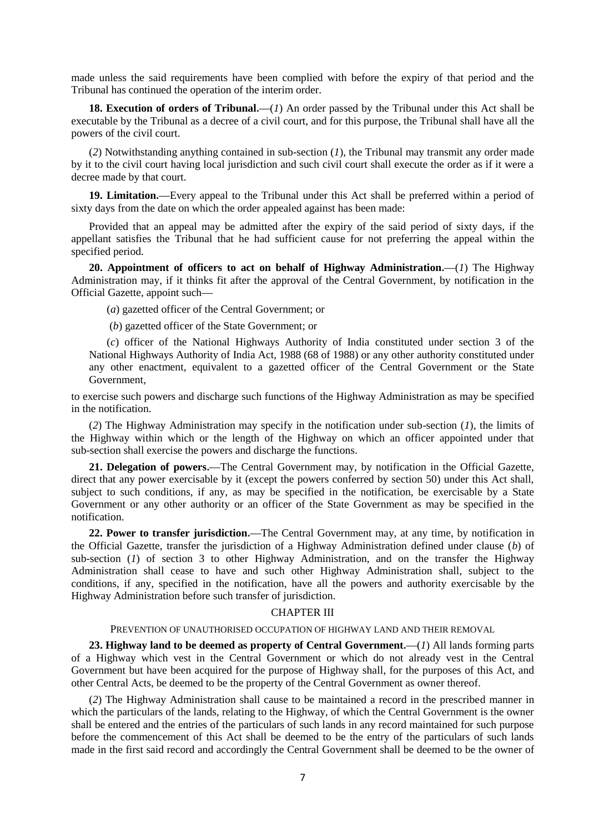made unless the said requirements have been complied with before the expiry of that period and the Tribunal has continued the operation of the interim order.

**18. Execution of orders of Tribunal.—**(*1*) An order passed by the Tribunal under this Act shall be executable by the Tribunal as a decree of a civil court, and for this purpose, the Tribunal shall have all the powers of the civil court.

(*2*) Notwithstanding anything contained in sub-section (*1*), the Tribunal may transmit any order made by it to the civil court having local jurisdiction and such civil court shall execute the order as if it were a decree made by that court.

**19. Limitation.—**Every appeal to the Tribunal under this Act shall be preferred within a period of sixty days from the date on which the order appealed against has been made:

Provided that an appeal may be admitted after the expiry of the said period of sixty days, if the appellant satisfies the Tribunal that he had sufficient cause for not preferring the appeal within the specified period.

**20. Appointment of officers to act on behalf of Highway Administration.—**(*1*) The Highway Administration may, if it thinks fit after the approval of the Central Government, by notification in the Official Gazette, appoint such**—**

(*a*) gazetted officer of the Central Government; or

(*b*) gazetted officer of the State Government; or

(*c*) officer of the National Highways Authority of India constituted under section 3 of the National Highways Authority of India Act, 1988 (68 of 1988) or any other authority constituted under any other enactment, equivalent to a gazetted officer of the Central Government or the State Government,

to exercise such powers and discharge such functions of the Highway Administration as may be specified in the notification.

(*2*) The Highway Administration may specify in the notification under sub-section (*1*), the limits of the Highway within which or the length of the Highway on which an officer appointed under that sub-section shall exercise the powers and discharge the functions.

**21. Delegation of powers.—**The Central Government may, by notification in the Official Gazette, direct that any power exercisable by it (except the powers conferred by section 50) under this Act shall, subject to such conditions, if any, as may be specified in the notification, be exercisable by a State Government or any other authority or an officer of the State Government as may be specified in the notification.

**22. Power to transfer jurisdiction.—**The Central Government may, at any time, by notification in the Official Gazette, transfer the jurisdiction of a Highway Administration defined under clause (*b*) of sub-section (*1*) of section 3 to other Highway Administration, and on the transfer the Highway Administration shall cease to have and such other Highway Administration shall, subject to the conditions, if any, specified in the notification, have all the powers and authority exercisable by the Highway Administration before such transfer of jurisdiction.

#### CHAPTER III

#### PREVENTION OF UNAUTHORISED OCCUPATION OF HIGHWAY LAND AND THEIR REMOVAL

**23. Highway land to be deemed as property of Central Government.—**(*1*) All lands forming parts of a Highway which vest in the Central Government or which do not already vest in the Central Government but have been acquired for the purpose of Highway shall, for the purposes of this Act, and other Central Acts, be deemed to be the property of the Central Government as owner thereof.

(*2*) The Highway Administration shall cause to be maintained a record in the prescribed manner in which the particulars of the lands, relating to the Highway, of which the Central Government is the owner shall be entered and the entries of the particulars of such lands in any record maintained for such purpose before the commencement of this Act shall be deemed to be the entry of the particulars of such lands made in the first said record and accordingly the Central Government shall be deemed to be the owner of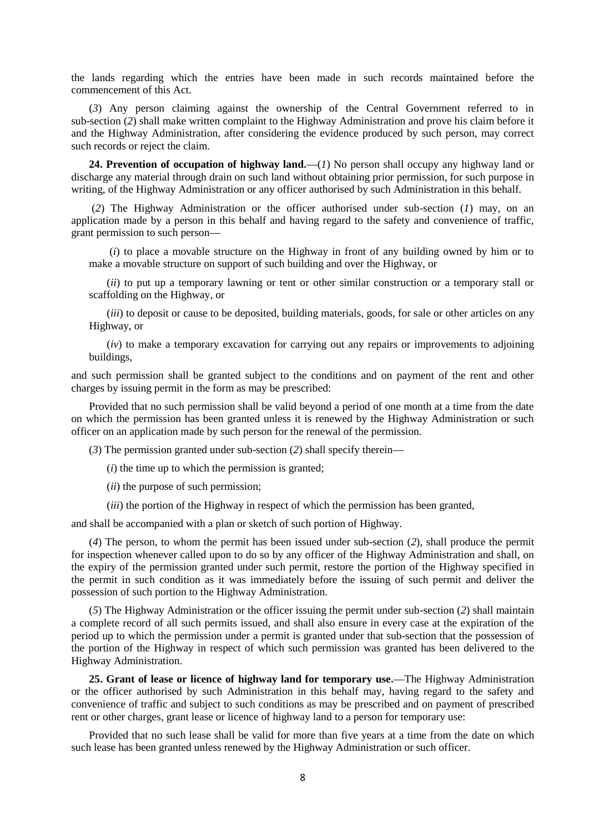the lands regarding which the entries have been made in such records maintained before the commencement of this Act.

(*3*) Any person claiming against the ownership of the Central Government referred to in sub-section (*2*) shall make written complaint to the Highway Administration and prove his claim before it and the Highway Administration, after considering the evidence produced by such person, may correct such records or reject the claim.

**24. Prevention of occupation of highway land.—**(*1*) No person shall occupy any highway land or discharge any material through drain on such land without obtaining prior permission, for such purpose in writing, of the Highway Administration or any officer authorised by such Administration in this behalf.

(*2*) The Highway Administration or the officer authorised under sub-section (*1*) may, on an application made by a person in this behalf and having regard to the safety and convenience of traffic, grant permission to such person**—**

(*i*) to place a movable structure on the Highway in front of any building owned by him or to make a movable structure on support of such building and over the Highway, or

(*ii*) to put up a temporary lawning or tent or other similar construction or a temporary stall or scaffolding on the Highway, or

(*iii*) to deposit or cause to be deposited, building materials, goods, for sale or other articles on any Highway, or

(*iv*) to make a temporary excavation for carrying out any repairs or improvements to adjoining buildings,

and such permission shall be granted subject to the conditions and on payment of the rent and other charges by issuing permit in the form as may be prescribed:

Provided that no such permission shall be valid beyond a period of one month at a time from the date on which the permission has been granted unless it is renewed by the Highway Administration or such officer on an application made by such person for the renewal of the permission.

(*3*) The permission granted under sub-section (*2*) shall specify therein**—**

(*i*) the time up to which the permission is granted;

(*ii*) the purpose of such permission;

(*iii*) the portion of the Highway in respect of which the permission has been granted,

and shall be accompanied with a plan or sketch of such portion of Highway.

(*4*) The person, to whom the permit has been issued under sub-section (*2*), shall produce the permit for inspection whenever called upon to do so by any officer of the Highway Administration and shall, on the expiry of the permission granted under such permit, restore the portion of the Highway specified in the permit in such condition as it was immediately before the issuing of such permit and deliver the possession of such portion to the Highway Administration.

(*5*) The Highway Administration or the officer issuing the permit under sub-section (*2*) shall maintain a complete record of all such permits issued, and shall also ensure in every case at the expiration of the period up to which the permission under a permit is granted under that sub-section that the possession of the portion of the Highway in respect of which such permission was granted has been delivered to the Highway Administration.

**25. Grant of lease or licence of highway land for temporary use.—**The Highway Administration or the officer authorised by such Administration in this behalf may, having regard to the safety and convenience of traffic and subject to such conditions as may be prescribed and on payment of prescribed rent or other charges, grant lease or licence of highway land to a person for temporary use:

Provided that no such lease shall be valid for more than five years at a time from the date on which such lease has been granted unless renewed by the Highway Administration or such officer.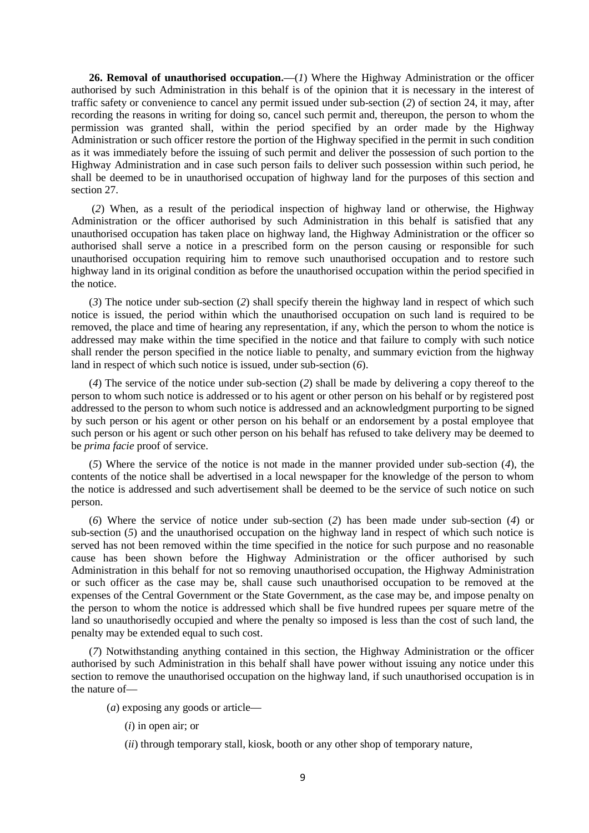**26. Removal of unauthorised occupation.—**(*1*) Where the Highway Administration or the officer authorised by such Administration in this behalf is of the opinion that it is necessary in the interest of traffic safety or convenience to cancel any permit issued under sub-section (*2*) of section 24, it may, after recording the reasons in writing for doing so, cancel such permit and, thereupon, the person to whom the permission was granted shall, within the period specified by an order made by the Highway Administration or such officer restore the portion of the Highway specified in the permit in such condition as it was immediately before the issuing of such permit and deliver the possession of such portion to the Highway Administration and in case such person fails to deliver such possession within such period, he shall be deemed to be in unauthorised occupation of highway land for the purposes of this section and section 27.

(*2*) When, as a result of the periodical inspection of highway land or otherwise, the Highway Administration or the officer authorised by such Administration in this behalf is satisfied that any unauthorised occupation has taken place on highway land, the Highway Administration or the officer so authorised shall serve a notice in a prescribed form on the person causing or responsible for such unauthorised occupation requiring him to remove such unauthorised occupation and to restore such highway land in its original condition as before the unauthorised occupation within the period specified in the notice.

(*3*) The notice under sub-section (*2*) shall specify therein the highway land in respect of which such notice is issued, the period within which the unauthorised occupation on such land is required to be removed, the place and time of hearing any representation, if any, which the person to whom the notice is addressed may make within the time specified in the notice and that failure to comply with such notice shall render the person specified in the notice liable to penalty, and summary eviction from the highway land in respect of which such notice is issued, under sub-section (*6*).

(*4*) The service of the notice under sub-section (*2*) shall be made by delivering a copy thereof to the person to whom such notice is addressed or to his agent or other person on his behalf or by registered post addressed to the person to whom such notice is addressed and an acknowledgment purporting to be signed by such person or his agent or other person on his behalf or an endorsement by a postal employee that such person or his agent or such other person on his behalf has refused to take delivery may be deemed to be *prima facie* proof of service.

(*5*) Where the service of the notice is not made in the manner provided under sub-section (*4*), the contents of the notice shall be advertised in a local newspaper for the knowledge of the person to whom the notice is addressed and such advertisement shall be deemed to be the service of such notice on such person.

(*6*) Where the service of notice under sub-section (*2*) has been made under sub-section (*4*) or sub-section (*5*) and the unauthorised occupation on the highway land in respect of which such notice is served has not been removed within the time specified in the notice for such purpose and no reasonable cause has been shown before the Highway Administration or the officer authorised by such Administration in this behalf for not so removing unauthorised occupation, the Highway Administration or such officer as the case may be, shall cause such unauthorised occupation to be removed at the expenses of the Central Government or the State Government, as the case may be, and impose penalty on the person to whom the notice is addressed which shall be five hundred rupees per square metre of the land so unauthorisedly occupied and where the penalty so imposed is less than the cost of such land, the penalty may be extended equal to such cost.

(*7*) Notwithstanding anything contained in this section, the Highway Administration or the officer authorised by such Administration in this behalf shall have power without issuing any notice under this section to remove the unauthorised occupation on the highway land, if such unauthorised occupation is in the nature of**—**

(*a*) exposing any goods or article**—**

- (*i*) in open air; or
- (*ii*) through temporary stall, kiosk, booth or any other shop of temporary nature,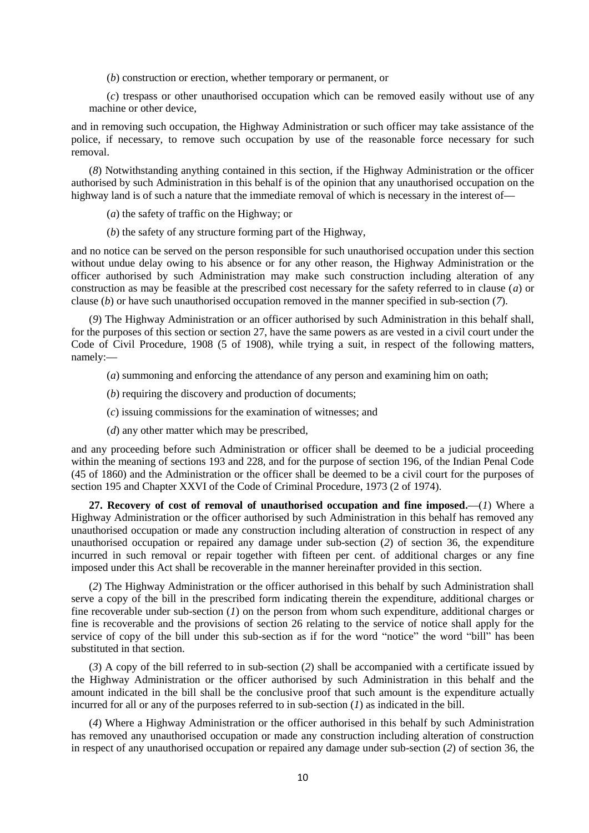(*b*) construction or erection, whether temporary or permanent, or

(*c*) trespass or other unauthorised occupation which can be removed easily without use of any machine or other device,

and in removing such occupation, the Highway Administration or such officer may take assistance of the police, if necessary, to remove such occupation by use of the reasonable force necessary for such removal.

(*8*) Notwithstanding anything contained in this section, if the Highway Administration or the officer authorised by such Administration in this behalf is of the opinion that any unauthorised occupation on the highway land is of such a nature that the immediate removal of which is necessary in the interest of**—**

- (*a*) the safety of traffic on the Highway; or
- (*b*) the safety of any structure forming part of the Highway,

and no notice can be served on the person responsible for such unauthorised occupation under this section without undue delay owing to his absence or for any other reason, the Highway Administration or the officer authorised by such Administration may make such construction including alteration of any construction as may be feasible at the prescribed cost necessary for the safety referred to in clause (*a*) or clause (*b*) or have such unauthorised occupation removed in the manner specified in sub-section (*7*).

(*9*) The Highway Administration or an officer authorised by such Administration in this behalf shall, for the purposes of this section or section 27, have the same powers as are vested in a civil court under the Code of Civil Procedure, 1908 (5 of 1908), while trying a suit, in respect of the following matters. namely:**—**

- (*a*) summoning and enforcing the attendance of any person and examining him on oath;
- (*b*) requiring the discovery and production of documents;
- (*c*) issuing commissions for the examination of witnesses; and
- (*d*) any other matter which may be prescribed,

and any proceeding before such Administration or officer shall be deemed to be a judicial proceeding within the meaning of sections 193 and 228, and for the purpose of section 196, of the Indian Penal Code (45 of 1860) and the Administration or the officer shall be deemed to be a civil court for the purposes of section 195 and Chapter XXVI of the Code of Criminal Procedure, 1973 (2 of 1974).

**27. Recovery of cost of removal of unauthorised occupation and fine imposed.—**(*1*) Where a Highway Administration or the officer authorised by such Administration in this behalf has removed any unauthorised occupation or made any construction including alteration of construction in respect of any unauthorised occupation or repaired any damage under sub-section (*2*) of section 36, the expenditure incurred in such removal or repair together with fifteen per cent. of additional charges or any fine imposed under this Act shall be recoverable in the manner hereinafter provided in this section.

(*2*) The Highway Administration or the officer authorised in this behalf by such Administration shall serve a copy of the bill in the prescribed form indicating therein the expenditure, additional charges or fine recoverable under sub-section (*1*) on the person from whom such expenditure, additional charges or fine is recoverable and the provisions of section 26 relating to the service of notice shall apply for the service of copy of the bill under this sub-section as if for the word "notice" the word "bill" has been substituted in that section.

(*3*) A copy of the bill referred to in sub-section (*2*) shall be accompanied with a certificate issued by the Highway Administration or the officer authorised by such Administration in this behalf and the amount indicated in the bill shall be the conclusive proof that such amount is the expenditure actually incurred for all or any of the purposes referred to in sub-section (*1*) as indicated in the bill.

(*4*) Where a Highway Administration or the officer authorised in this behalf by such Administration has removed any unauthorised occupation or made any construction including alteration of construction in respect of any unauthorised occupation or repaired any damage under sub-section (*2*) of section 36, the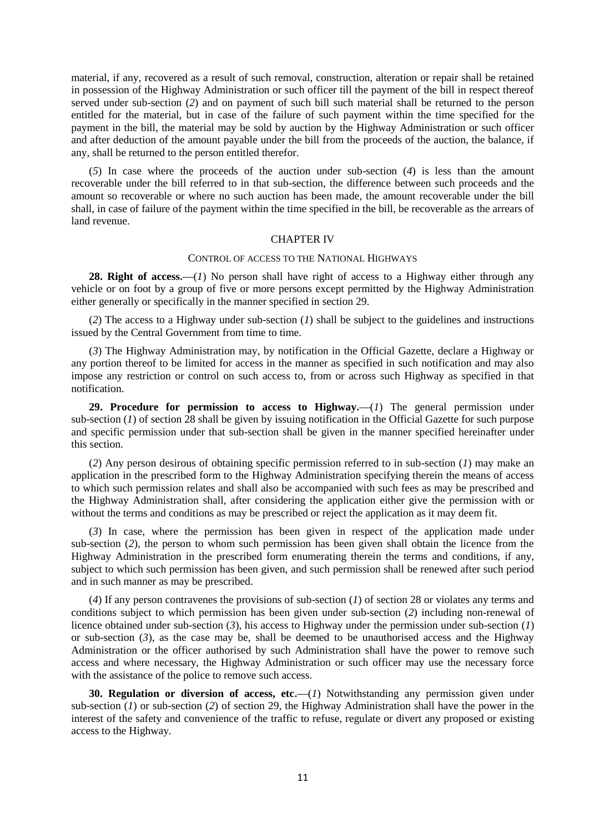material, if any, recovered as a result of such removal, construction, alteration or repair shall be retained in possession of the Highway Administration or such officer till the payment of the bill in respect thereof served under sub-section (*2*) and on payment of such bill such material shall be returned to the person entitled for the material, but in case of the failure of such payment within the time specified for the payment in the bill, the material may be sold by auction by the Highway Administration or such officer and after deduction of the amount payable under the bill from the proceeds of the auction, the balance, if any, shall be returned to the person entitled therefor.

(*5*) In case where the proceeds of the auction under sub-section (*4*) is less than the amount recoverable under the bill referred to in that sub-section, the difference between such proceeds and the amount so recoverable or where no such auction has been made, the amount recoverable under the bill shall, in case of failure of the payment within the time specified in the bill, be recoverable as the arrears of land revenue.

### CHAPTER IV

#### CONTROL OF ACCESS TO THE NATIONAL HIGHWAYS

**28. Right of access.—**(*1*) No person shall have right of access to a Highway either through any vehicle or on foot by a group of five or more persons except permitted by the Highway Administration either generally or specifically in the manner specified in section 29.

(*2*) The access to a Highway under sub-section (*1*) shall be subject to the guidelines and instructions issued by the Central Government from time to time.

(*3*) The Highway Administration may, by notification in the Official Gazette, declare a Highway or any portion thereof to be limited for access in the manner as specified in such notification and may also impose any restriction or control on such access to, from or across such Highway as specified in that notification.

**29. Procedure for permission to access to Highway.—**(*1*) The general permission under sub-section (*1*) of section 28 shall be given by issuing notification in the Official Gazette for such purpose and specific permission under that sub-section shall be given in the manner specified hereinafter under this section.

(*2*) Any person desirous of obtaining specific permission referred to in sub-section (*1*) may make an application in the prescribed form to the Highway Administration specifying therein the means of access to which such permission relates and shall also be accompanied with such fees as may be prescribed and the Highway Administration shall, after considering the application either give the permission with or without the terms and conditions as may be prescribed or reject the application as it may deem fit.

(*3*) In case, where the permission has been given in respect of the application made under sub-section (*2*), the person to whom such permission has been given shall obtain the licence from the Highway Administration in the prescribed form enumerating therein the terms and conditions, if any, subject to which such permission has been given, and such permission shall be renewed after such period and in such manner as may be prescribed.

(*4*) If any person contravenes the provisions of sub-section (*1*) of section 28 or violates any terms and conditions subject to which permission has been given under sub-section (*2*) including non-renewal of licence obtained under sub-section (*3*), his access to Highway under the permission under sub-section (*1*) or sub-section (*3*), as the case may be, shall be deemed to be unauthorised access and the Highway Administration or the officer authorised by such Administration shall have the power to remove such access and where necessary, the Highway Administration or such officer may use the necessary force with the assistance of the police to remove such access.

**30. Regulation or diversion of access, etc.—(***1***) Notwithstanding any permission given under** sub-section (*1*) or sub-section (*2*) of section 29, the Highway Administration shall have the power in the interest of the safety and convenience of the traffic to refuse, regulate or divert any proposed or existing access to the Highway.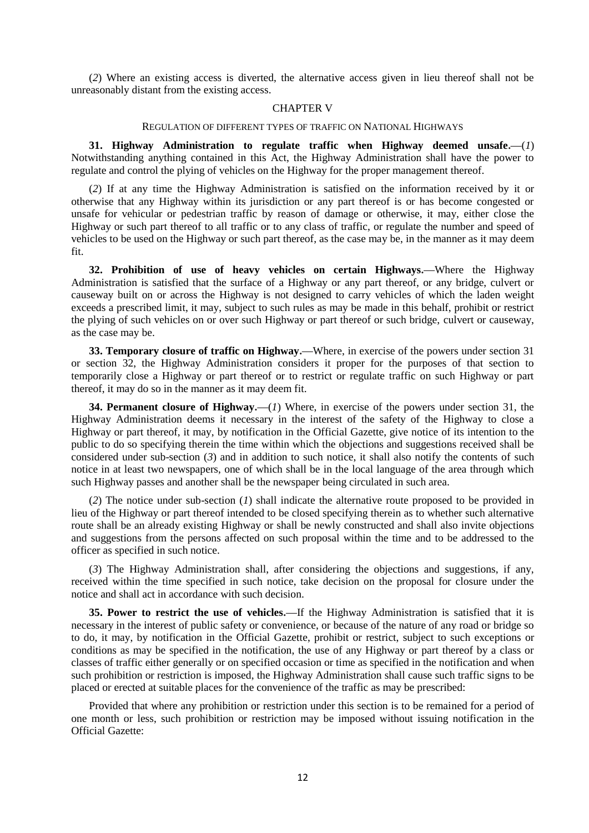(*2*) Where an existing access is diverted, the alternative access given in lieu thereof shall not be unreasonably distant from the existing access.

### CHAPTER V

#### REGULATION OF DIFFERENT TYPES OF TRAFFIC ON NATIONAL HIGHWAYS

**31. Highway Administration to regulate traffic when Highway deemed unsafe.—**(*1*) Notwithstanding anything contained in this Act, the Highway Administration shall have the power to regulate and control the plying of vehicles on the Highway for the proper management thereof.

(*2*) If at any time the Highway Administration is satisfied on the information received by it or otherwise that any Highway within its jurisdiction or any part thereof is or has become congested or unsafe for vehicular or pedestrian traffic by reason of damage or otherwise, it may, either close the Highway or such part thereof to all traffic or to any class of traffic, or regulate the number and speed of vehicles to be used on the Highway or such part thereof, as the case may be, in the manner as it may deem fit.

**32. Prohibition of use of heavy vehicles on certain Highways.—**Where the Highway Administration is satisfied that the surface of a Highway or any part thereof, or any bridge, culvert or causeway built on or across the Highway is not designed to carry vehicles of which the laden weight exceeds a prescribed limit, it may, subject to such rules as may be made in this behalf, prohibit or restrict the plying of such vehicles on or over such Highway or part thereof or such bridge, culvert or causeway, as the case may be.

**33. Temporary closure of traffic on Highway.—**Where, in exercise of the powers under section 31 or section 32, the Highway Administration considers it proper for the purposes of that section to temporarily close a Highway or part thereof or to restrict or regulate traffic on such Highway or part thereof, it may do so in the manner as it may deem fit.

**34. Permanent closure of Highway.—**(*1*) Where, in exercise of the powers under section 31, the Highway Administration deems it necessary in the interest of the safety of the Highway to close a Highway or part thereof, it may, by notification in the Official Gazette, give notice of its intention to the public to do so specifying therein the time within which the objections and suggestions received shall be considered under sub-section (*3*) and in addition to such notice, it shall also notify the contents of such notice in at least two newspapers, one of which shall be in the local language of the area through which such Highway passes and another shall be the newspaper being circulated in such area.

(*2*) The notice under sub-section (*1*) shall indicate the alternative route proposed to be provided in lieu of the Highway or part thereof intended to be closed specifying therein as to whether such alternative route shall be an already existing Highway or shall be newly constructed and shall also invite objections and suggestions from the persons affected on such proposal within the time and to be addressed to the officer as specified in such notice.

(*3*) The Highway Administration shall, after considering the objections and suggestions, if any, received within the time specified in such notice, take decision on the proposal for closure under the notice and shall act in accordance with such decision.

**35. Power to restrict the use of vehicles.—**If the Highway Administration is satisfied that it is necessary in the interest of public safety or convenience, or because of the nature of any road or bridge so to do, it may, by notification in the Official Gazette, prohibit or restrict, subject to such exceptions or conditions as may be specified in the notification, the use of any Highway or part thereof by a class or classes of traffic either generally or on specified occasion or time as specified in the notification and when such prohibition or restriction is imposed, the Highway Administration shall cause such traffic signs to be placed or erected at suitable places for the convenience of the traffic as may be prescribed:

Provided that where any prohibition or restriction under this section is to be remained for a period of one month or less, such prohibition or restriction may be imposed without issuing notification in the Official Gazette: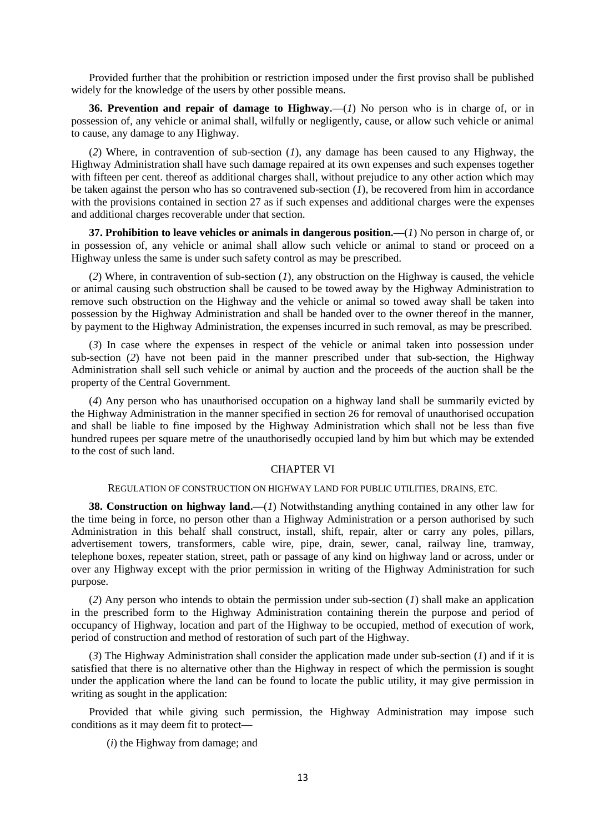Provided further that the prohibition or restriction imposed under the first proviso shall be published widely for the knowledge of the users by other possible means.

**36. Prevention and repair of damage to Highway.—**(*1*) No person who is in charge of, or in possession of, any vehicle or animal shall, wilfully or negligently, cause, or allow such vehicle or animal to cause, any damage to any Highway.

(*2*) Where, in contravention of sub-section (*1*), any damage has been caused to any Highway, the Highway Administration shall have such damage repaired at its own expenses and such expenses together with fifteen per cent. thereof as additional charges shall, without prejudice to any other action which may be taken against the person who has so contravened sub-section  $(I)$ , be recovered from him in accordance with the provisions contained in section 27 as if such expenses and additional charges were the expenses and additional charges recoverable under that section.

**37. Prohibition to leave vehicles or animals in dangerous position.—**(*1*) No person in charge of, or in possession of, any vehicle or animal shall allow such vehicle or animal to stand or proceed on a Highway unless the same is under such safety control as may be prescribed.

(*2*) Where, in contravention of sub-section (*1*), any obstruction on the Highway is caused, the vehicle or animal causing such obstruction shall be caused to be towed away by the Highway Administration to remove such obstruction on the Highway and the vehicle or animal so towed away shall be taken into possession by the Highway Administration and shall be handed over to the owner thereof in the manner, by payment to the Highway Administration, the expenses incurred in such removal, as may be prescribed.

(*3*) In case where the expenses in respect of the vehicle or animal taken into possession under sub-section (*2*) have not been paid in the manner prescribed under that sub-section, the Highway Administration shall sell such vehicle or animal by auction and the proceeds of the auction shall be the property of the Central Government.

(*4*) Any person who has unauthorised occupation on a highway land shall be summarily evicted by the Highway Administration in the manner specified in section 26 for removal of unauthorised occupation and shall be liable to fine imposed by the Highway Administration which shall not be less than five hundred rupees per square metre of the unauthorisedly occupied land by him but which may be extended to the cost of such land.

#### CHAPTER VI

#### REGULATION OF CONSTRUCTION ON HIGHWAY LAND FOR PUBLIC UTILITIES, DRAINS, ETC.

**38. Construction on highway land.—**(*1*) Notwithstanding anything contained in any other law for the time being in force, no person other than a Highway Administration or a person authorised by such Administration in this behalf shall construct, install, shift, repair, alter or carry any poles, pillars, advertisement towers, transformers, cable wire, pipe, drain, sewer, canal, railway line, tramway, telephone boxes, repeater station, street, path or passage of any kind on highway land or across, under or over any Highway except with the prior permission in writing of the Highway Administration for such purpose.

(*2*) Any person who intends to obtain the permission under sub-section (*1*) shall make an application in the prescribed form to the Highway Administration containing therein the purpose and period of occupancy of Highway, location and part of the Highway to be occupied, method of execution of work, period of construction and method of restoration of such part of the Highway.

(*3*) The Highway Administration shall consider the application made under sub-section (*1*) and if it is satisfied that there is no alternative other than the Highway in respect of which the permission is sought under the application where the land can be found to locate the public utility, it may give permission in writing as sought in the application:

Provided that while giving such permission, the Highway Administration may impose such conditions as it may deem fit to protect**—**

(*i*) the Highway from damage; and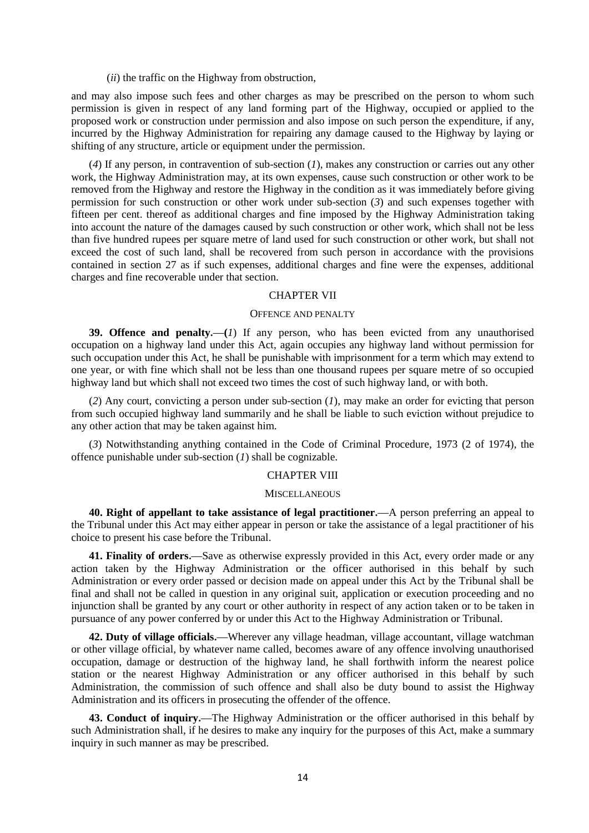(*ii*) the traffic on the Highway from obstruction,

and may also impose such fees and other charges as may be prescribed on the person to whom such permission is given in respect of any land forming part of the Highway, occupied or applied to the proposed work or construction under permission and also impose on such person the expenditure, if any, incurred by the Highway Administration for repairing any damage caused to the Highway by laying or shifting of any structure, article or equipment under the permission.

(*4*) If any person, in contravention of sub-section (*1*), makes any construction or carries out any other work, the Highway Administration may, at its own expenses, cause such construction or other work to be removed from the Highway and restore the Highway in the condition as it was immediately before giving permission for such construction or other work under sub-section (*3*) and such expenses together with fifteen per cent. thereof as additional charges and fine imposed by the Highway Administration taking into account the nature of the damages caused by such construction or other work, which shall not be less than five hundred rupees per square metre of land used for such construction or other work, but shall not exceed the cost of such land, shall be recovered from such person in accordance with the provisions contained in section 27 as if such expenses, additional charges and fine were the expenses, additional charges and fine recoverable under that section.

#### CHAPTER VII

### OFFENCE AND PENALTY

**39. Offence and penalty.—(***1*) If any person, who has been evicted from any unauthorised occupation on a highway land under this Act, again occupies any highway land without permission for such occupation under this Act, he shall be punishable with imprisonment for a term which may extend to one year, or with fine which shall not be less than one thousand rupees per square metre of so occupied highway land but which shall not exceed two times the cost of such highway land, or with both.

(*2*) Any court, convicting a person under sub-section (*1*), may make an order for evicting that person from such occupied highway land summarily and he shall be liable to such eviction without prejudice to any other action that may be taken against him.

(*3*) Notwithstanding anything contained in the Code of Criminal Procedure, 1973 (2 of 1974), the offence punishable under sub-section (*1*) shall be cognizable.

# CHAPTER VIII

#### **MISCELLANEOUS**

**40. Right of appellant to take assistance of legal practitioner.—**A person preferring an appeal to the Tribunal under this Act may either appear in person or take the assistance of a legal practitioner of his choice to present his case before the Tribunal.

**41. Finality of orders.—**Save as otherwise expressly provided in this Act, every order made or any action taken by the Highway Administration or the officer authorised in this behalf by such Administration or every order passed or decision made on appeal under this Act by the Tribunal shall be final and shall not be called in question in any original suit, application or execution proceeding and no injunction shall be granted by any court or other authority in respect of any action taken or to be taken in pursuance of any power conferred by or under this Act to the Highway Administration or Tribunal.

**42. Duty of village officials.—**Wherever any village headman, village accountant, village watchman or other village official, by whatever name called, becomes aware of any offence involving unauthorised occupation, damage or destruction of the highway land, he shall forthwith inform the nearest police station or the nearest Highway Administration or any officer authorised in this behalf by such Administration, the commission of such offence and shall also be duty bound to assist the Highway Administration and its officers in prosecuting the offender of the offence.

**43. Conduct of inquiry.—**The Highway Administration or the officer authorised in this behalf by such Administration shall, if he desires to make any inquiry for the purposes of this Act, make a summary inquiry in such manner as may be prescribed.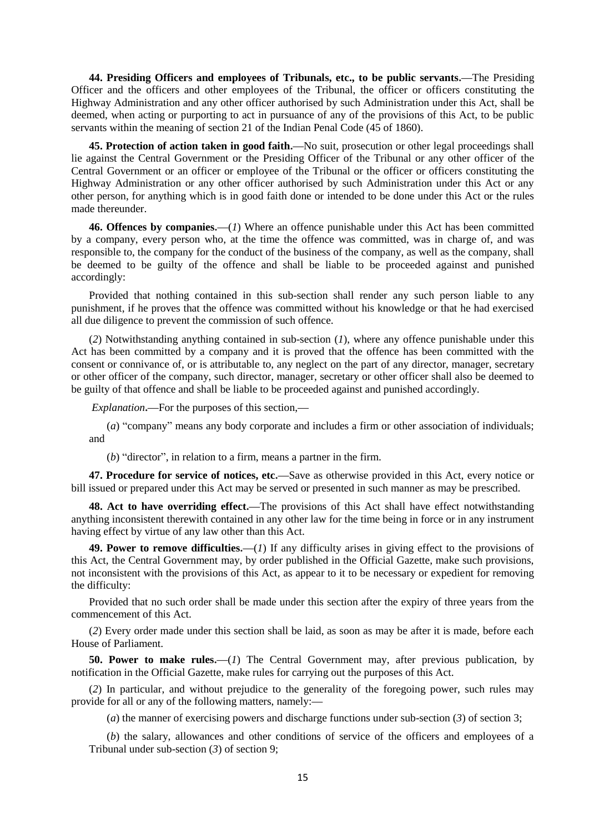**44. Presiding Officers and employees of Tribunals, etc., to be public servants.—**The Presiding Officer and the officers and other employees of the Tribunal, the officer or officers constituting the Highway Administration and any other officer authorised by such Administration under this Act, shall be deemed, when acting or purporting to act in pursuance of any of the provisions of this Act, to be public servants within the meaning of section 21 of the Indian Penal Code (45 of 1860).

**45. Protection of action taken in good faith.—**No suit, prosecution or other legal proceedings shall lie against the Central Government or the Presiding Officer of the Tribunal or any other officer of the Central Government or an officer or employee of the Tribunal or the officer or officers constituting the Highway Administration or any other officer authorised by such Administration under this Act or any other person, for anything which is in good faith done or intended to be done under this Act or the rules made thereunder.

**46. Offences by companies.—**(*1*) Where an offence punishable under this Act has been committed by a company, every person who, at the time the offence was committed, was in charge of, and was responsible to, the company for the conduct of the business of the company, as well as the company, shall be deemed to be guilty of the offence and shall be liable to be proceeded against and punished accordingly:

Provided that nothing contained in this sub-section shall render any such person liable to any punishment, if he proves that the offence was committed without his knowledge or that he had exercised all due diligence to prevent the commission of such offence.

(*2*) Notwithstanding anything contained in sub-section (*1*), where any offence punishable under this Act has been committed by a company and it is proved that the offence has been committed with the consent or connivance of, or is attributable to, any neglect on the part of any director, manager, secretary or other officer of the company, such director, manager, secretary or other officer shall also be deemed to be guilty of that offence and shall be liable to be proceeded against and punished accordingly.

*Explanation***.—**For the purposes of this section,**—**

(*a*) "company" means any body corporate and includes a firm or other association of individuals; and

(*b*) "director", in relation to a firm, means a partner in the firm.

**47. Procedure for service of notices, etc.—**Save as otherwise provided in this Act, every notice or bill issued or prepared under this Act may be served or presented in such manner as may be prescribed.

**48. Act to have overriding effect.—**The provisions of this Act shall have effect notwithstanding anything inconsistent therewith contained in any other law for the time being in force or in any instrument having effect by virtue of any law other than this Act.

**49. Power to remove difficulties.—**(*1*) If any difficulty arises in giving effect to the provisions of this Act, the Central Government may, by order published in the Official Gazette, make such provisions, not inconsistent with the provisions of this Act, as appear to it to be necessary or expedient for removing the difficulty:

Provided that no such order shall be made under this section after the expiry of three years from the commencement of this Act.

(*2*) Every order made under this section shall be laid, as soon as may be after it is made, before each House of Parliament.

**50. Power to make rules.—**(*1*) The Central Government may, after previous publication, by notification in the Official Gazette, make rules for carrying out the purposes of this Act.

(*2*) In particular, and without prejudice to the generality of the foregoing power, such rules may provide for all or any of the following matters, namely:**—**

(*a*) the manner of exercising powers and discharge functions under sub-section (*3*) of section 3;

(*b*) the salary, allowances and other conditions of service of the officers and employees of a Tribunal under sub-section (*3*) of section 9;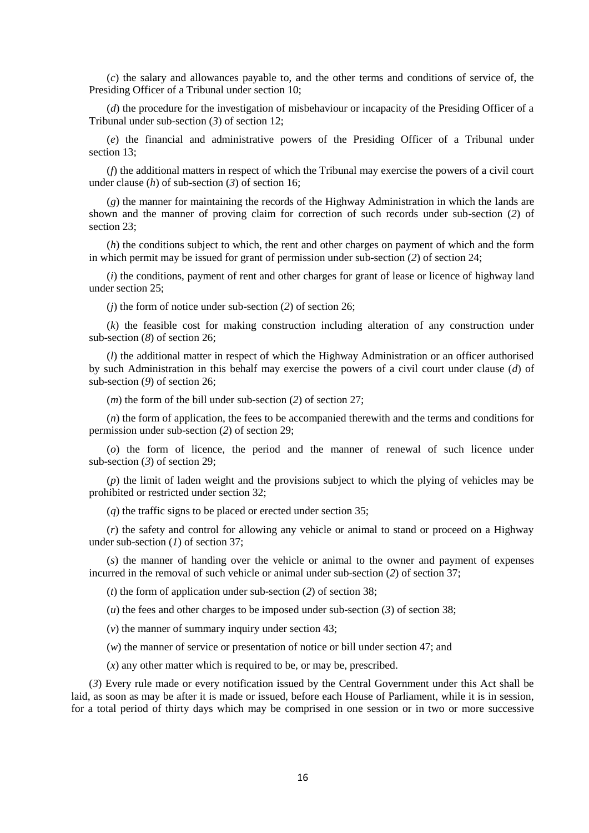(*c*) the salary and allowances payable to, and the other terms and conditions of service of, the Presiding Officer of a Tribunal under section 10;

(*d*) the procedure for the investigation of misbehaviour or incapacity of the Presiding Officer of a Tribunal under sub-section (*3*) of section 12;

(*e*) the financial and administrative powers of the Presiding Officer of a Tribunal under section 13;

(*f*) the additional matters in respect of which the Tribunal may exercise the powers of a civil court under clause (*h*) of sub-section (*3*) of section 16;

(*g*) the manner for maintaining the records of the Highway Administration in which the lands are shown and the manner of proving claim for correction of such records under sub-section (*2*) of section 23;

(*h*) the conditions subject to which, the rent and other charges on payment of which and the form in which permit may be issued for grant of permission under sub-section (*2*) of section 24;

(*i*) the conditions, payment of rent and other charges for grant of lease or licence of highway land under section 25;

(*j*) the form of notice under sub-section (*2*) of section 26;

(*k*) the feasible cost for making construction including alteration of any construction under sub-section (*8*) of section 26;

(*l*) the additional matter in respect of which the Highway Administration or an officer authorised by such Administration in this behalf may exercise the powers of a civil court under clause (*d*) of sub-section (*9*) of section 26;

(*m*) the form of the bill under sub-section (*2*) of section 27;

(*n*) the form of application, the fees to be accompanied therewith and the terms and conditions for permission under sub-section (*2*) of section 29;

(*o*) the form of licence, the period and the manner of renewal of such licence under sub-section (*3*) of section 29;

(*p*) the limit of laden weight and the provisions subject to which the plying of vehicles may be prohibited or restricted under section 32;

(*q*) the traffic signs to be placed or erected under section 35;

(*r*) the safety and control for allowing any vehicle or animal to stand or proceed on a Highway under sub-section (*1*) of section 37;

(*s*) the manner of handing over the vehicle or animal to the owner and payment of expenses incurred in the removal of such vehicle or animal under sub-section (*2*) of section 37;

(*t*) the form of application under sub-section (*2*) of section 38;

(*u*) the fees and other charges to be imposed under sub-section (*3*) of section 38;

(*v*) the manner of summary inquiry under section 43;

(*w*) the manner of service or presentation of notice or bill under section 47; and

(*x*) any other matter which is required to be, or may be, prescribed.

(*3*) Every rule made or every notification issued by the Central Government under this Act shall be laid, as soon as may be after it is made or issued, before each House of Parliament, while it is in session, for a total period of thirty days which may be comprised in one session or in two or more successive